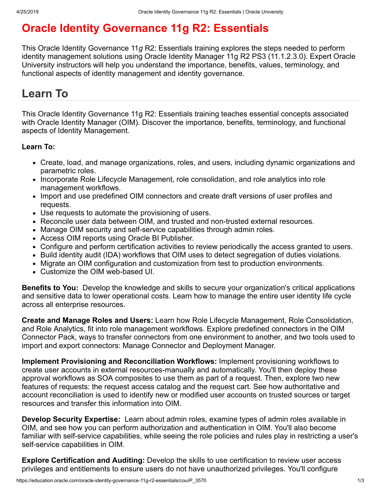# **Oracle Identity Governance 11g R2: Essentials**

This Oracle Identity Governance 11*g* R2: Essentials training explores the steps needed to perform identity management solutions using Oracle Identity Manager 11g R2 PS3 (11.1.2.3.0). Expert Oracle University instructors will help you understand the importance, benefits, values, terminology, and functional aspects of identity management and identity governance.

# **Learn To**

This Oracle Identity Governance 11g R2: Essentials training teaches essential concepts associated with Oracle Identity Manager (OIM). Discover the importance, benefits, terminology, and functional aspects of Identity Management.

#### **Learn To:**

- Create, load, and manage organizations, roles, and users, including dynamic organizations and parametric roles.
- Incorporate Role Lifecycle Management, role consolidation, and role analytics into role management workflows.
- Import and use predefined OIM connectors and create draft versions of user profiles and requests.
- Use requests to automate the provisioning of users.
- Reconcile user data between OIM, and trusted and non-trusted external resources.
- Manage OIM security and self-service capabilities through admin roles.
- Access OIM reports using Oracle BI Publisher.
- Configure and perform certification activities to review periodically the access granted to users.
- Build identity audit (IDA) workflows that OIM uses to detect segregation of duties violations.
- Migrate an OIM configuration and customization from test to production environments.
- Customize the OIM web-based UI.

**Benefits to You:** Develop the knowledge and skills to secure your organization's critical applications and sensitive data to lower operational costs. Learn how to manage the entire user identity life cycle across all enterprise resources.

**Create and Manage Roles and Users:** Learn how Role Lifecycle Management, Role Consolidation, and Role Analytics, fit into role management workflows. Explore predefined connectors in the OIM Connector Pack, ways to transfer connectors from one environment to another, and two tools used to import and export connectors: Manage Connector and Deployment Manager.

**Implement Provisioning and Reconciliation Workflows:** Implement provisioning workflows to create user accounts in external resources-manually and automatically. You'll then deploy these approval workflows as SOA composites to use them as part of a request. Then, explore two new features of requests: the request access catalog and the request cart. See how authoritative and account reconciliation is used to identify new or modified user accounts on trusted sources or target resources and transfer this information into OIM.

**Develop Security Expertise:** Learn about admin roles, examine types of admin roles available in OIM, and see how you can perform authorization and authentication in OIM. You'll also become familiar with self-service capabilities, while seeing the role policies and rules play in restricting a user's self-service capabilities in OIM.

**Explore Certification and Auditing:** Develop the skills to use certification to review user access privileges and entitlements to ensure users do not have unauthorized privileges. You'll configure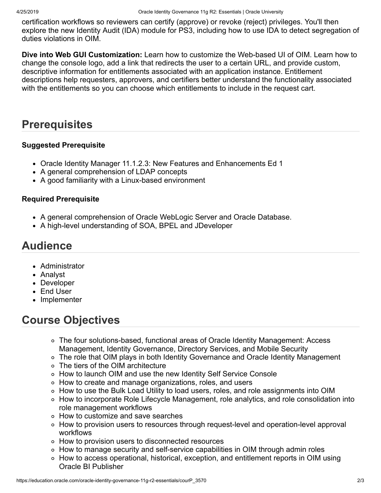certification workflows so reviewers can certify (approve) or revoke (reject) privileges. You'll then explore the new Identity Audit (IDA) module for PS3, including how to use IDA to detect segregation of duties violations in OIM.

**Dive into Web GUI Customization:** Learn how to customize the Web-based UI of OIM. Learn how to change the console logo, add a link that redirects the user to a certain URL, and provide custom, descriptive information for entitlements associated with an application instance. Entitlement descriptions help requesters, approvers, and certifiers better understand the functionality associated with the entitlements so you can choose which entitlements to include in the request cart.

### **Prerequisites**

#### **Suggested Prerequisite**

- Oracle Identity Manager 11.1.2.3: New Features and Enhancements Ed 1
- A general comprehension of LDAP concepts
- A good familiarity with a Linux-based environment

#### **Required Prerequisite**

- A general comprehension of Oracle WebLogic Server and Oracle Database.
- A high-level understanding of SOA, BPEL and JDeveloper

### **Audience**

- Administrator
- Analyst
- Developer
- End User
- Implementer

## **Course Objectives**

- The four solutions-based, functional areas of Oracle Identity Management: Access Management, Identity Governance, Directory Services, and Mobile Security
- The role that OIM plays in both Identity Governance and Oracle Identity Management
- The tiers of the OIM architecture
- How to launch OIM and use the new Identity Self Service Console
- How to create and manage organizations, roles, and users
- How to use the Bulk Load Utility to load users, roles, and role assignments into OIM
- How to incorporate Role Lifecycle Management, role analytics, and role consolidation into role management workflows
- How to customize and save searches
- How to provision users to resources through request-level and operation-level approval workflows
- How to provision users to disconnected resources
- How to manage security and self-service capabilities in OIM through admin roles
- How to access operational, historical, exception, and entitlement reports in OIM using Oracle BI Publisher